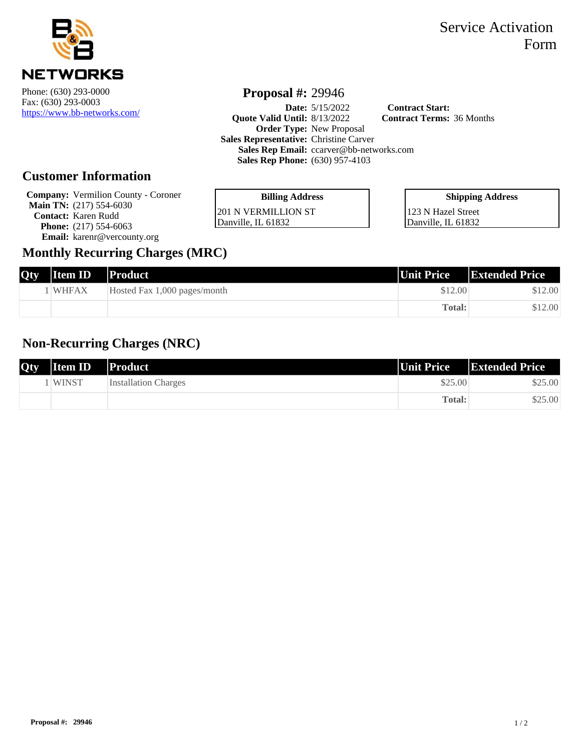

<https://www.bb-networks.com/>

### Service Activation Form

# **Proposal #:** 29946

**Date:** [5/15/2022](https://www.bb-networks.com/) **Contract Start: Quote Valid Until:** 8/13/2022 **Contract Terms:** 36 Months **Order Type:** New Proposal **Sales Representative:** Christine Carver **Sales Rep Email:** ccarver@bb-networks.com **Sales Rep Phone:** (630) 957-4103

### **Customer Information**

**Company:** Vermilion County - Coroner **Main TN:** (217) 554-6030 **Contact:** Karen Rudd **Phone:** (217) 554-6063 **Email:** karenr@vercounty.org

| <b>Billing Address</b> |  |
|------------------------|--|
| 201 N VERMILLION ST    |  |
| Danville, IL 61832     |  |

| <b>Shipping Address</b> |  |
|-------------------------|--|
| 123 N Hazel Street      |  |
| Danville, IL 61832      |  |

### **Monthly Recurring Charges (MRC)**

| Qty | <b>Item ID</b> | Product                      | Unit Price | <b>Extended Price</b> |
|-----|----------------|------------------------------|------------|-----------------------|
|     | l WHFAX        | Hosted Fax 1,000 pages/month | \$12.00    | \$12.00               |
|     |                |                              | Total:     | \$12.00               |

### **Non-Recurring Charges (NRC)**

| <b>Qty</b> | <b>Item ID</b> | Product              | Unit Price | <b>Extended Price</b> |
|------------|----------------|----------------------|------------|-----------------------|
|            | <b>WINST</b>   | Installation Charges | \$25.00    | \$25.00               |
|            |                |                      | Total:     | \$25.00               |